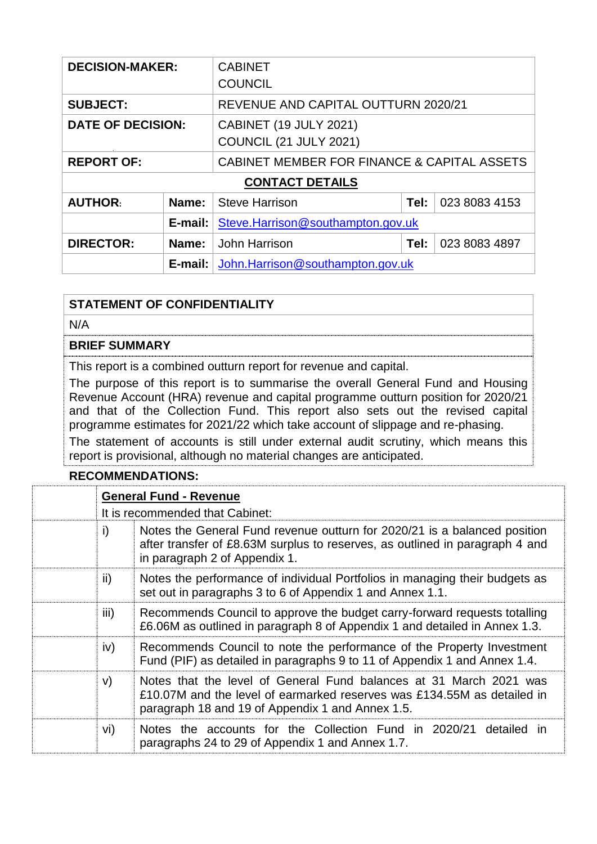| <b>DECISION-MAKER:</b>   |             | <b>CABINET</b><br><b>COUNCIL</b>                               |      |               |
|--------------------------|-------------|----------------------------------------------------------------|------|---------------|
| <b>SUBJECT:</b>          |             | REVENUE AND CAPITAL OUTTURN 2020/21                            |      |               |
| <b>DATE OF DECISION:</b> |             | <b>CABINET (19 JULY 2021)</b><br><b>COUNCIL (21 JULY 2021)</b> |      |               |
| <b>REPORT OF:</b>        |             | CABINET MEMBER FOR FINANCE & CAPITAL ASSETS                    |      |               |
| <b>CONTACT DETAILS</b>   |             |                                                                |      |               |
| <b>AUTHOR:</b>           | Name:       | <b>Steve Harrison</b>                                          | Tel: | 023 8083 4153 |
|                          | E-mail: $ $ | Steve.Harrison@southampton.gov.uk                              |      |               |
| <b>DIRECTOR:</b>         | Name:       | John Harrison                                                  | Tel: | 023 8083 4897 |
|                          | $E$ -mail:  | John.Harrison@southampton.gov.uk                               |      |               |

### **STATEMENT OF CONFIDENTIALITY**

N/A

#### **BRIEF SUMMARY**

This report is a combined outturn report for revenue and capital.

The purpose of this report is to summarise the overall General Fund and Housing Revenue Account (HRA) revenue and capital programme outturn position for 2020/21 and that of the Collection Fund. This report also sets out the revised capital programme estimates for 2021/22 which take account of slippage and re-phasing. The statement of accounts is still under external audit scrutiny, which means this

report is provisional, although no material changes are anticipated.

#### **RECOMMENDATIONS:**

| <b>General Fund - Revenue</b>   |                                                                                                                                                                                                   |  |  |
|---------------------------------|---------------------------------------------------------------------------------------------------------------------------------------------------------------------------------------------------|--|--|
| It is recommended that Cabinet: |                                                                                                                                                                                                   |  |  |
| i)                              | Notes the General Fund revenue outturn for 2020/21 is a balanced position<br>after transfer of £8.63M surplus to reserves, as outlined in paragraph 4 and<br>in paragraph 2 of Appendix 1.        |  |  |
| ii)                             | Notes the performance of individual Portfolios in managing their budgets as<br>set out in paragraphs 3 to 6 of Appendix 1 and Annex 1.1.                                                          |  |  |
| iii)                            | Recommends Council to approve the budget carry-forward requests totalling<br>£6.06M as outlined in paragraph 8 of Appendix 1 and detailed in Annex 1.3.                                           |  |  |
| iv)                             | Recommends Council to note the performance of the Property Investment<br>Fund (PIF) as detailed in paragraphs 9 to 11 of Appendix 1 and Annex 1.4.                                                |  |  |
| V)                              | Notes that the level of General Fund balances at 31 March 2021 was<br>£10.07M and the level of earmarked reserves was £134.55M as detailed in<br>paragraph 18 and 19 of Appendix 1 and Annex 1.5. |  |  |
| vi)                             | Notes the accounts for the Collection Fund in 2020/21 detailed in<br>paragraphs 24 to 29 of Appendix 1 and Annex 1.7.                                                                             |  |  |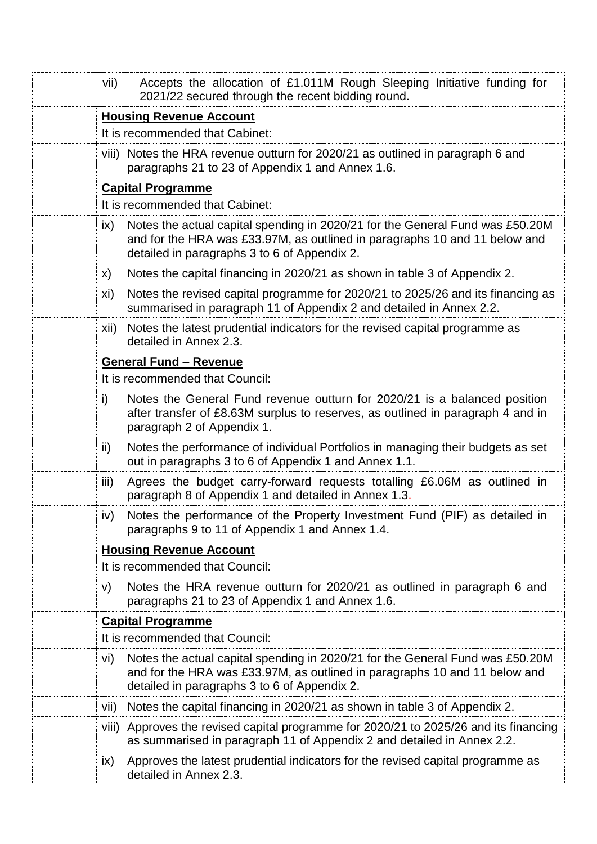| vii)          | Accepts the allocation of £1.011M Rough Sleeping Initiative funding for<br>2021/22 secured through the recent bidding round.                                                                                |  |  |  |
|---------------|-------------------------------------------------------------------------------------------------------------------------------------------------------------------------------------------------------------|--|--|--|
|               | <b>Housing Revenue Account</b>                                                                                                                                                                              |  |  |  |
|               | It is recommended that Cabinet:                                                                                                                                                                             |  |  |  |
|               | viii) Notes the HRA revenue outturn for 2020/21 as outlined in paragraph 6 and<br>paragraphs 21 to 23 of Appendix 1 and Annex 1.6.                                                                          |  |  |  |
|               | <b>Capital Programme</b>                                                                                                                                                                                    |  |  |  |
|               | It is recommended that Cabinet:                                                                                                                                                                             |  |  |  |
| $\mathsf{ix}$ | Notes the actual capital spending in 2020/21 for the General Fund was £50.20M<br>and for the HRA was £33.97M, as outlined in paragraphs 10 and 11 below and<br>detailed in paragraphs 3 to 6 of Appendix 2. |  |  |  |
| X)            | Notes the capital financing in 2020/21 as shown in table 3 of Appendix 2.                                                                                                                                   |  |  |  |
| xi)           | Notes the revised capital programme for 2020/21 to 2025/26 and its financing as<br>summarised in paragraph 11 of Appendix 2 and detailed in Annex 2.2.                                                      |  |  |  |
| Xii)          | Notes the latest prudential indicators for the revised capital programme as<br>detailed in Annex 2.3.                                                                                                       |  |  |  |
|               | <b>General Fund - Revenue</b>                                                                                                                                                                               |  |  |  |
|               | It is recommended that Council:                                                                                                                                                                             |  |  |  |
| i)            | Notes the General Fund revenue outturn for 2020/21 is a balanced position<br>after transfer of £8.63M surplus to reserves, as outlined in paragraph 4 and in<br>paragraph 2 of Appendix 1.                  |  |  |  |
| ii)           | Notes the performance of individual Portfolios in managing their budgets as set<br>out in paragraphs 3 to 6 of Appendix 1 and Annex 1.1.                                                                    |  |  |  |
| iii)          | Agrees the budget carry-forward requests totalling £6.06M as outlined in<br>paragraph 8 of Appendix 1 and detailed in Annex 1.3.                                                                            |  |  |  |
| iv)           | Notes the performance of the Property Investment Fund (PIF) as detailed in<br>paragraphs 9 to 11 of Appendix 1 and Annex 1.4.                                                                               |  |  |  |
|               | <b>Housing Revenue Account</b><br>It is recommended that Council:                                                                                                                                           |  |  |  |
| V)            | Notes the HRA revenue outturn for 2020/21 as outlined in paragraph 6 and<br>paragraphs 21 to 23 of Appendix 1 and Annex 1.6.                                                                                |  |  |  |
|               | <b>Capital Programme</b>                                                                                                                                                                                    |  |  |  |
|               | It is recommended that Council:                                                                                                                                                                             |  |  |  |
| vi)           | Notes the actual capital spending in 2020/21 for the General Fund was £50.20M<br>and for the HRA was £33.97M, as outlined in paragraphs 10 and 11 below and<br>detailed in paragraphs 3 to 6 of Appendix 2. |  |  |  |
| Vii)          | Notes the capital financing in 2020/21 as shown in table 3 of Appendix 2.                                                                                                                                   |  |  |  |
|               | viii) Approves the revised capital programme for 2020/21 to 2025/26 and its financing<br>as summarised in paragraph 11 of Appendix 2 and detailed in Annex 2.2.                                             |  |  |  |
| $\mathsf{ix}$ | Approves the latest prudential indicators for the revised capital programme as<br>detailed in Annex 2.3.                                                                                                    |  |  |  |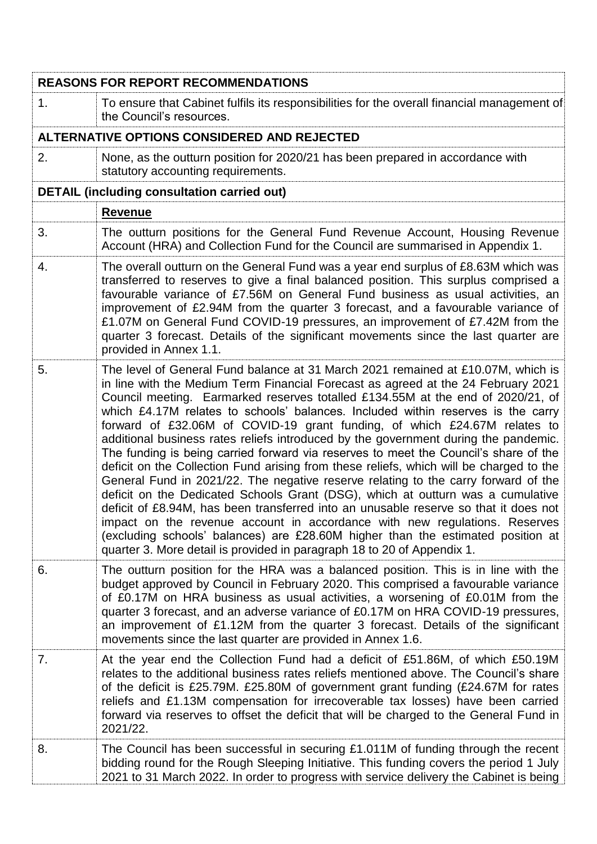|                  | <b>REASONS FOR REPORT RECOMMENDATIONS</b>                                                                                                                                                                                                                                                                                                                                                                                                                                                                                                                                                                                                                                                                                                                                                                                                                                                                                                                                                                                                                                                                                                                                                                        |
|------------------|------------------------------------------------------------------------------------------------------------------------------------------------------------------------------------------------------------------------------------------------------------------------------------------------------------------------------------------------------------------------------------------------------------------------------------------------------------------------------------------------------------------------------------------------------------------------------------------------------------------------------------------------------------------------------------------------------------------------------------------------------------------------------------------------------------------------------------------------------------------------------------------------------------------------------------------------------------------------------------------------------------------------------------------------------------------------------------------------------------------------------------------------------------------------------------------------------------------|
| 1.               | To ensure that Cabinet fulfils its responsibilities for the overall financial management of<br>the Council's resources.                                                                                                                                                                                                                                                                                                                                                                                                                                                                                                                                                                                                                                                                                                                                                                                                                                                                                                                                                                                                                                                                                          |
|                  | ALTERNATIVE OPTIONS CONSIDERED AND REJECTED                                                                                                                                                                                                                                                                                                                                                                                                                                                                                                                                                                                                                                                                                                                                                                                                                                                                                                                                                                                                                                                                                                                                                                      |
| 2.               | None, as the outturn position for 2020/21 has been prepared in accordance with<br>statutory accounting requirements.                                                                                                                                                                                                                                                                                                                                                                                                                                                                                                                                                                                                                                                                                                                                                                                                                                                                                                                                                                                                                                                                                             |
|                  | <b>DETAIL (including consultation carried out)</b>                                                                                                                                                                                                                                                                                                                                                                                                                                                                                                                                                                                                                                                                                                                                                                                                                                                                                                                                                                                                                                                                                                                                                               |
|                  | <b>Revenue</b>                                                                                                                                                                                                                                                                                                                                                                                                                                                                                                                                                                                                                                                                                                                                                                                                                                                                                                                                                                                                                                                                                                                                                                                                   |
| 3.               | The outturn positions for the General Fund Revenue Account, Housing Revenue<br>Account (HRA) and Collection Fund for the Council are summarised in Appendix 1.                                                                                                                                                                                                                                                                                                                                                                                                                                                                                                                                                                                                                                                                                                                                                                                                                                                                                                                                                                                                                                                   |
| $\overline{4}$ . | The overall outturn on the General Fund was a year end surplus of £8.63M which was<br>transferred to reserves to give a final balanced position. This surplus comprised a<br>favourable variance of £7.56M on General Fund business as usual activities, an<br>improvement of £2.94M from the quarter 3 forecast, and a favourable variance of<br>£1.07M on General Fund COVID-19 pressures, an improvement of £7.42M from the<br>quarter 3 forecast. Details of the significant movements since the last quarter are<br>provided in Annex 1.1.                                                                                                                                                                                                                                                                                                                                                                                                                                                                                                                                                                                                                                                                  |
| 5.               | The level of General Fund balance at 31 March 2021 remained at £10.07M, which is<br>in line with the Medium Term Financial Forecast as agreed at the 24 February 2021<br>Council meeting. Earmarked reserves totalled £134.55M at the end of 2020/21, of<br>which £4.17M relates to schools' balances. Included within reserves is the carry<br>forward of £32.06M of COVID-19 grant funding, of which £24.67M relates to<br>additional business rates reliefs introduced by the government during the pandemic.<br>The funding is being carried forward via reserves to meet the Council's share of the<br>deficit on the Collection Fund arising from these reliefs, which will be charged to the<br>General Fund in 2021/22. The negative reserve relating to the carry forward of the<br>deficit on the Dedicated Schools Grant (DSG), which at outturn was a cumulative<br>deficit of £8.94M, has been transferred into an unusable reserve so that it does not<br>impact on the revenue account in accordance with new regulations. Reserves<br>(excluding schools' balances) are £28.60M higher than the estimated position at<br>quarter 3. More detail is provided in paragraph 18 to 20 of Appendix 1. |
| 6.               | The outturn position for the HRA was a balanced position. This is in line with the<br>budget approved by Council in February 2020. This comprised a favourable variance<br>of £0.17M on HRA business as usual activities, a worsening of £0.01M from the<br>quarter 3 forecast, and an adverse variance of £0.17M on HRA COVID-19 pressures,<br>an improvement of £1.12M from the quarter 3 forecast. Details of the significant<br>movements since the last quarter are provided in Annex 1.6.                                                                                                                                                                                                                                                                                                                                                                                                                                                                                                                                                                                                                                                                                                                  |
| 7.               | At the year end the Collection Fund had a deficit of £51.86M, of which £50.19M<br>relates to the additional business rates reliefs mentioned above. The Council's share<br>of the deficit is £25.79M. £25.80M of government grant funding (£24.67M for rates<br>reliefs and £1.13M compensation for irrecoverable tax losses) have been carried<br>forward via reserves to offset the deficit that will be charged to the General Fund in<br>2021/22.                                                                                                                                                                                                                                                                                                                                                                                                                                                                                                                                                                                                                                                                                                                                                            |
| 8.               | The Council has been successful in securing £1.011M of funding through the recent<br>bidding round for the Rough Sleeping Initiative. This funding covers the period 1 July<br>2021 to 31 March 2022. In order to progress with service delivery the Cabinet is being                                                                                                                                                                                                                                                                                                                                                                                                                                                                                                                                                                                                                                                                                                                                                                                                                                                                                                                                            |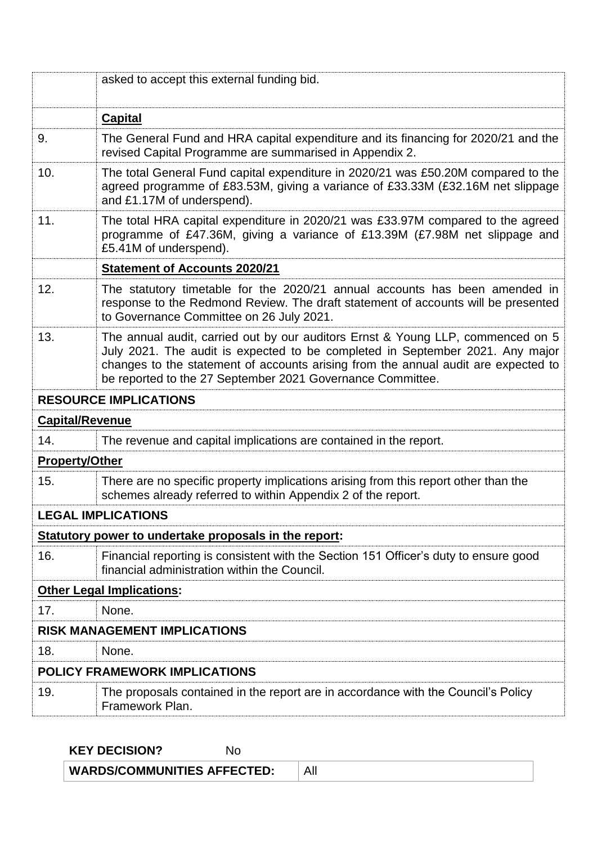|                        | asked to accept this external funding bid.                                                                                                                                                                                                                                                                           |  |  |
|------------------------|----------------------------------------------------------------------------------------------------------------------------------------------------------------------------------------------------------------------------------------------------------------------------------------------------------------------|--|--|
|                        | <b>Capital</b>                                                                                                                                                                                                                                                                                                       |  |  |
| 9.                     | The General Fund and HRA capital expenditure and its financing for 2020/21 and the<br>revised Capital Programme are summarised in Appendix 2.                                                                                                                                                                        |  |  |
| 10.                    | The total General Fund capital expenditure in 2020/21 was £50.20M compared to the<br>agreed programme of £83.53M, giving a variance of £33.33M (£32.16M net slippage<br>and £1.17M of underspend).                                                                                                                   |  |  |
| 11.                    | The total HRA capital expenditure in 2020/21 was £33.97M compared to the agreed<br>programme of £47.36M, giving a variance of £13.39M (£7.98M net slippage and<br>£5.41M of underspend).                                                                                                                             |  |  |
|                        | <b>Statement of Accounts 2020/21</b>                                                                                                                                                                                                                                                                                 |  |  |
| 12.                    | The statutory timetable for the 2020/21 annual accounts has been amended in<br>response to the Redmond Review. The draft statement of accounts will be presented<br>to Governance Committee on 26 July 2021.                                                                                                         |  |  |
| 13.                    | The annual audit, carried out by our auditors Ernst & Young LLP, commenced on 5<br>July 2021. The audit is expected to be completed in September 2021. Any major<br>changes to the statement of accounts arising from the annual audit are expected to<br>be reported to the 27 September 2021 Governance Committee. |  |  |
|                        | <b>RESOURCE IMPLICATIONS</b>                                                                                                                                                                                                                                                                                         |  |  |
| <b>Capital/Revenue</b> |                                                                                                                                                                                                                                                                                                                      |  |  |
| 14.                    | The revenue and capital implications are contained in the report.                                                                                                                                                                                                                                                    |  |  |
| <b>Property/Other</b>  |                                                                                                                                                                                                                                                                                                                      |  |  |
| 15.                    | There are no specific property implications arising from this report other than the<br>schemes already referred to within Appendix 2 of the report.                                                                                                                                                                  |  |  |
|                        | <b>LEGAL IMPLICATIONS</b>                                                                                                                                                                                                                                                                                            |  |  |
|                        | Statutory power to undertake proposals in the report:                                                                                                                                                                                                                                                                |  |  |
| 16.                    | Financial reporting is consistent with the Section 151 Officer's duty to ensure good<br>financial administration within the Council.                                                                                                                                                                                 |  |  |
|                        | <b>Other Legal Implications:</b>                                                                                                                                                                                                                                                                                     |  |  |
| 17.                    | None.                                                                                                                                                                                                                                                                                                                |  |  |
|                        | <b>RISK MANAGEMENT IMPLICATIONS</b>                                                                                                                                                                                                                                                                                  |  |  |
| 18.                    | None.                                                                                                                                                                                                                                                                                                                |  |  |
|                        | POLICY FRAMEWORK IMPLICATIONS                                                                                                                                                                                                                                                                                        |  |  |
| 19.                    | The proposals contained in the report are in accordance with the Council's Policy<br>Framework Plan.                                                                                                                                                                                                                 |  |  |

**KEY DECISION?** No

**WARDS/COMMUNITIES AFFECTED:** All